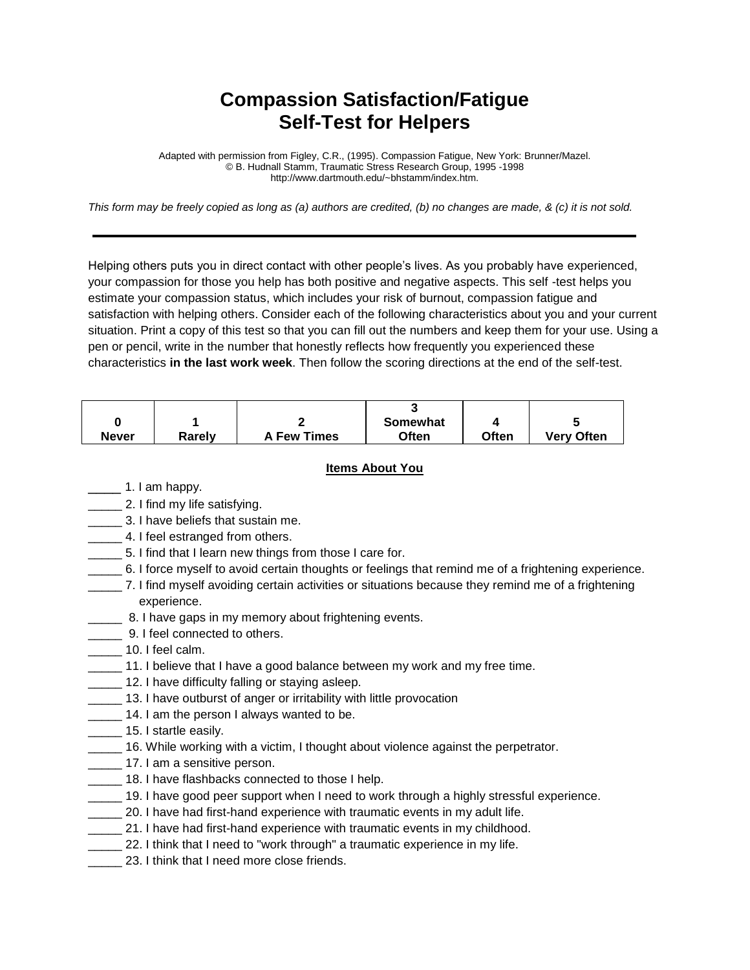## **Compassion Satisfaction/Fatigue Self-Test for Helpers**

Adapted with permission from Figley, C.R., (1995). Compassion Fatigue, New York: Brunner/Mazel. © B. Hudnall Stamm, Traumatic Stress Research Group, 1995 -1998 http://www.dartmouth.edu/~bhstamm/index.htm.

*This form may be freely copied as long as (a) authors are credited, (b) no changes are made, & (c) it is not sold.* 

Helping others puts you in direct contact with other people's lives. As you probably have experienced, your compassion for those you help has both positive and negative aspects. This self -test helps you estimate your compassion status, which includes your risk of burnout, compassion fatigue and satisfaction with helping others. Consider each of the following characteristics about you and your current situation. Print a copy of this test so that you can fill out the numbers and keep them for your use. Using a pen or pencil, write in the number that honestly reflects how frequently you experienced these characteristics **in the last work week**. Then follow the scoring directions at the end of the self-test.

|              |        |                    | Somewhat     |       |                   |
|--------------|--------|--------------------|--------------|-------|-------------------|
| <b>Never</b> | Rarelv | <b>A Few Times</b> | <b>Often</b> | Often | <b>Very Often</b> |

## **Items About You**

- $\_$  1. I am happy.
- 2. I find my life satisfying.
- \_\_\_\_\_ 3. I have beliefs that sustain me.
- **4.** I feel estranged from others.
- 5. I find that I learn new things from those I care for.
- \_\_\_\_\_ 6. I force myself to avoid certain thoughts or feelings that remind me of a frightening experience.
- \_\_\_\_\_ 7. I find myself avoiding certain activities or situations because they remind me of a frightening experience.
- **2008.** 8. I have gaps in my memory about frightening events.
- **LECCC** 9. I feel connected to others.
- 10. I feel calm.
- 11. I believe that I have a good balance between my work and my free time.
- 12. I have difficulty falling or staying asleep.
- **\_\_\_\_\_** 13. I have outburst of anger or irritability with little provocation
- 14. I am the person I always wanted to be.
- 15. I startle easily.
- \_\_\_\_\_ 16. While working with a victim, I thought about violence against the perpetrator.
- 17. I am a sensitive person.
- \_\_\_\_\_ 18. I have flashbacks connected to those I help.
- 19. I have good peer support when I need to work through a highly stressful experience.
- \_\_\_\_\_ 20. I have had first-hand experience with traumatic events in my adult life.
- **\_\_\_\_\_** 21. I have had first-hand experience with traumatic events in my childhood.
- 22. I think that I need to "work through" a traumatic experience in my life.
- 23. I think that I need more close friends.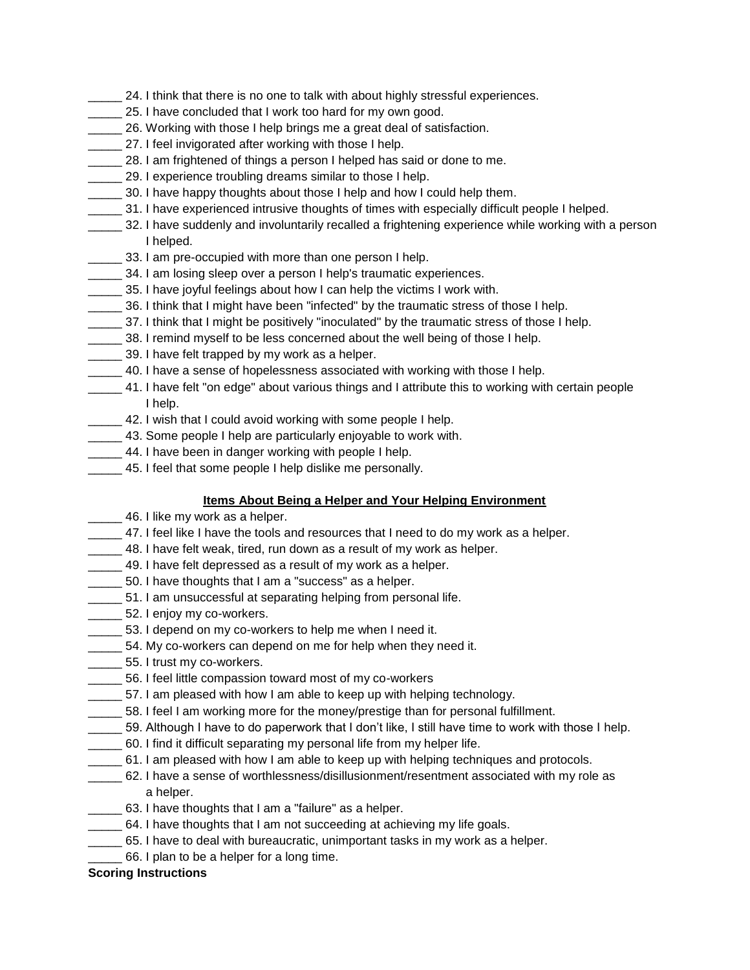- 24. I think that there is no one to talk with about highly stressful experiences.
- 25. I have concluded that I work too hard for my own good.
- \_\_\_\_\_ 26. Working with those I help brings me a great deal of satisfaction.
- 27. I feel invigorated after working with those I help.
- 28. I am frightened of things a person I helped has said or done to me.
- \_\_\_\_\_ 29. I experience troubling dreams similar to those I help.
- **\_\_\_\_\_** 30. I have happy thoughts about those I help and how I could help them.
- \_\_\_\_\_ 31. I have experienced intrusive thoughts of times with especially difficult people I helped.
- \_\_\_\_\_ 32. I have suddenly and involuntarily recalled a frightening experience while working with a person I helped.
	- 133. I am pre-occupied with more than one person I help.
- 34. I am losing sleep over a person I help's traumatic experiences.
- \_\_\_\_\_ 35. I have joyful feelings about how I can help the victims I work with.
- \_\_\_\_\_ 36. I think that I might have been "infected" by the traumatic stress of those I help.
- \_\_\_\_\_ 37. I think that I might be positively "inoculated" by the traumatic stress of those I help.
- 38. I remind myself to be less concerned about the well being of those I help.
- \_\_\_\_\_ 39. I have felt trapped by my work as a helper.
- \_\_\_\_\_ 40. I have a sense of hopelessness associated with working with those I help.
- \_\_\_\_\_ 41. I have felt "on edge" about various things and I attribute this to working with certain people I help.
- 42. I wish that I could avoid working with some people I help.
- 43. Some people I help are particularly enjoyable to work with.
- **10.1.1.** 44. I have been in danger working with people I help.
- **\_\_\_\_\_** 45. I feel that some people I help dislike me personally.

## **Items About Being a Helper and Your Helping Environment**

- **120.** 46. I like my work as a helper.
- \_\_\_\_\_ 47. I feel like I have the tools and resources that I need to do my work as a helper.
- 48. I have felt weak, tired, run down as a result of my work as helper.
- 49. I have felt depressed as a result of my work as a helper.
- **\_\_\_\_\_** 50. I have thoughts that I am a "success" as a helper.
- \_\_\_\_\_ 51. I am unsuccessful at separating helping from personal life.
- **\_\_\_\_\_** 52. I enjoy my co-workers.
- 53. I depend on my co-workers to help me when I need it.
- 54. My co-workers can depend on me for help when they need it.
- \_\_\_\_\_ 55. I trust my co-workers.
- \_\_\_\_\_ 56. I feel little compassion toward most of my co-workers
- \_\_\_\_\_ 57. I am pleased with how I am able to keep up with helping technology.
- \_\_\_\_\_ 58. I feel I am working more for the money/prestige than for personal fulfillment.
- 59. Although I have to do paperwork that I don't like, I still have time to work with those I help.
- \_\_\_\_\_ 60. I find it difficult separating my personal life from my helper life.
- \_\_\_\_\_ 61. I am pleased with how I am able to keep up with helping techniques and protocols.
- \_\_\_\_\_ 62. I have a sense of worthlessness/disillusionment/resentment associated with my role as a helper.
- \_\_\_\_\_ 63. I have thoughts that I am a "failure" as a helper.
- 64. I have thoughts that I am not succeeding at achieving my life goals.
- **\_\_\_\_\_\_** 65. I have to deal with bureaucratic, unimportant tasks in my work as a helper.
- 66. I plan to be a helper for a long time.

## **Scoring Instructions**